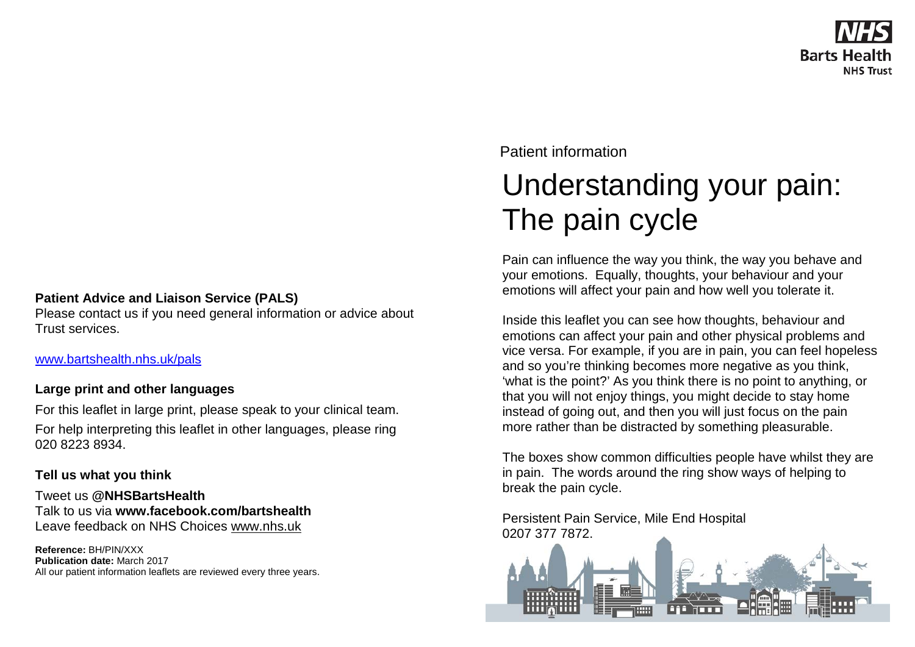## **Patient Advice and Liaison Service (PALS)**

Please contact us if you need general information or advice about Trust services.

[www.bartshealth.nhs.uk/pals](http://www.bartshealth.nhs.uk/pals)

## **Large print and other languages**

For this leaflet in large print, please speak to your clinical team. For help interpreting this leaflet in other languages, please ring 020 8223 8934.

## **Tell us what you think**

Tweet us **@NHSBartsHealth** Talk to us via **www.facebook.com/bartshealth** Leave feedback on NHS Choices [www.nhs.uk](http://www.nhs.uk/)

**Reference:** BH/PIN/XXX **Publication date:** March 2017 All our patient information leaflets are reviewed every three years. Patient information

## Understanding your pain: The pain cycle

Pain can influence the way you think, the way you behave and your emotions. Equally, thoughts, your behaviour and your emotions will affect your pain and how well you tolerate it.

Inside this leaflet you can see how thoughts, behaviour and emotions can affect your pain and other physical problems and vice versa. For example, if you are in pain, you can feel hopeless and so you're thinking becomes more negative as you think, 'what is the point?' As you think there is no point to anything, or that you will not enjoy things, you might decide to stay home instead of going out, and then you will just focus on the pain more rather than be distracted by something pleasurable.

The boxes show common difficulties people have whilst they are in pain. The words around the ring show ways of helping to break the pain cycle.

Persistent Pain Service, Mile End Hospital 0207 377 7872.